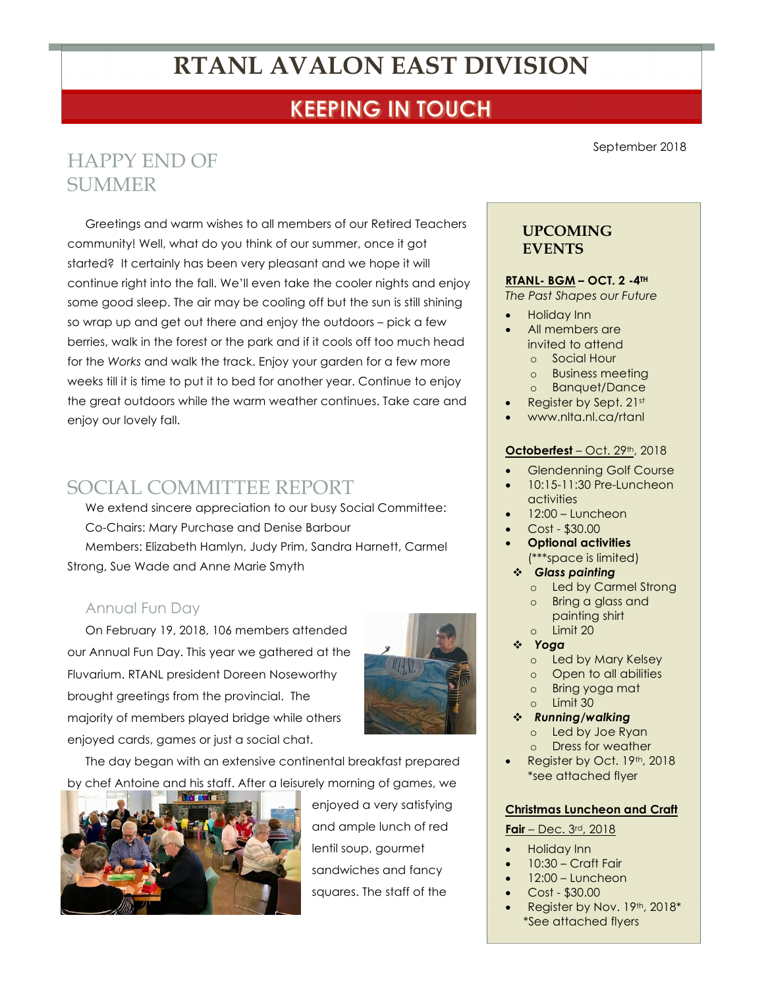# **RTANL AVALON EAST DIVISION**

## **KEEPING IN TOUCH**

## HAPPY END OF **SUMMER**

Greetings and warm wishes to all members of our Retired Teachers community! Well, what do you think of our summer, once it got started? It certainly has been very pleasant and we hope it will continue right into the fall. We'll even take the cooler nights and enjoy some good sleep. The air may be cooling off but the sun is still shining so wrap up and get out there and enjoy the outdoors – pick a few berries, walk in the forest or the park and if it cools off too much head for the *Works* and walk the track. Enjoy your garden for a few more weeks till it is time to put it to bed for another year. Continue to enjoy the great outdoors while the warm weather continues. Take care and enjoy our lovely fall.

### SOCIAL COMMITTEE REPORT

We extend sincere appreciation to our busy Social Committee: Co-Chairs: Mary Purchase and Denise Barbour Members: Elizabeth Hamlyn, Judy Prim, Sandra Harnett, Carmel Strong, Sue Wade and Anne Marie Smyth

#### Annual Fun Day

On February 19, 2018, 106 members attended our Annual Fun Day. This year we gathered at the Fluvarium. RTANL president Doreen Noseworthy brought greetings from the provincial. The majority of members played bridge while others enjoyed cards, games or just a social chat.



The day began with an extensive continental breakfast prepared by chef Antoine and his staff. After a leisurely morning of games, we



enjoyed a very satisfying and ample lunch of red lentil soup, gourmet sandwiches and fancy squares. The staff of the

September 2018

### **UPCOMING EVENTS**

#### **RTANL- BGM – OCT. 2 -4TH**

*The Past Shapes our Future*

- Holiday Inn
- All members are invited to attend o Social Hour
	- o Business meeting
	- o Banquet/Dance
- Register by Sept. 21st
- www.nlta.nl.ca/rtanl

#### **Octoberfest** – Oct. 29th, 2018

- Glendenning Golf Course
- 10:15-11:30 Pre-Luncheon activities
- 12:00 Luncheon
- Cost \$30.00
- **Optional activities** (\*\*\*space is limited)
- ! *Glass painting*
	- o Led by Carmel Strong
	- Bring a glass and painting shirt
	- o Limit 20
- ! *Yoga* 
	- o Led by Mary Kelsey
	- o Open to all abilities
	- o Bring yoga mat Limit 30
- ! *Running/walking* o Led by Joe Ryan
	- o Dress for weather
- Register by Oct. 19th, 2018 \*see attached flyer

#### **Christmas Luncheon and Craft**

#### **Fair** – Dec. 3rd, 2018

- Holiday Inn
	- 10:30 Craft Fair
	- 12:00 Luncheon
	- Cost \$30.00
	- Register by Nov. 19th, 2018\* \*See attached flyers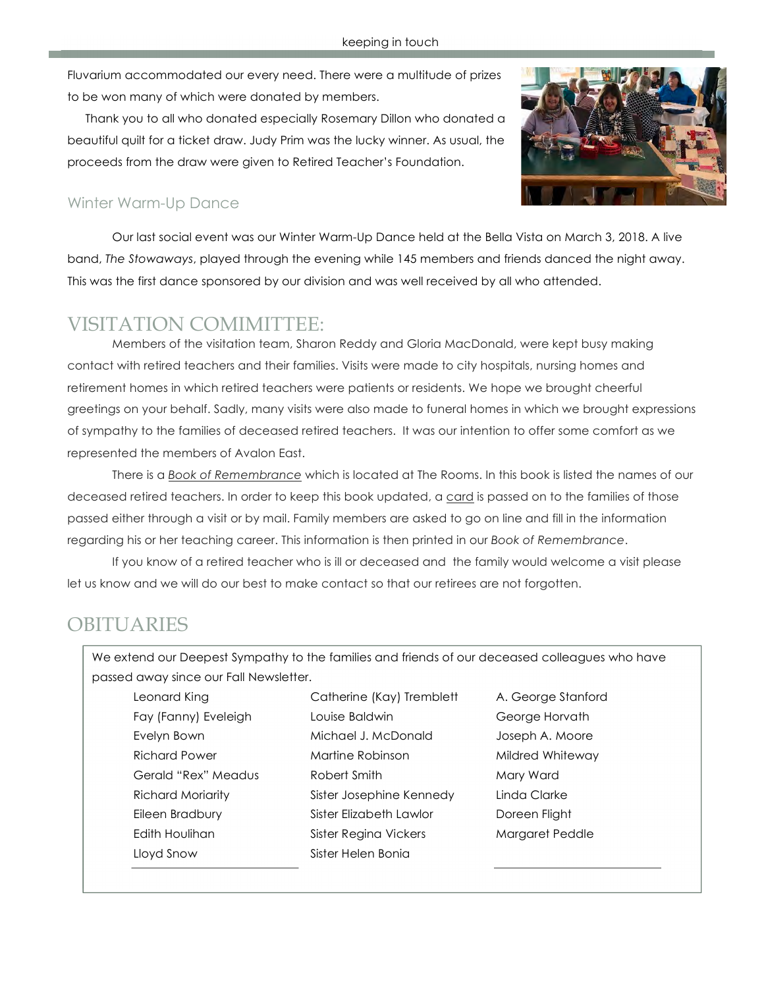Fluvarium accommodated our every need. There were a multitude of prizes to be won many of which were donated by members.

Thank you to all who donated especially Rosemary Dillon who donated a beautiful quilt for a ticket draw. Judy Prim was the lucky winner. As usual, the proceeds from the draw were given to Retired Teacher's Foundation.



### Winter Warm-Up Dance

Our last social event was our Winter Warm-Up Dance held at the Bella Vista on March 3, 2018. A live band, *The Stowaways*, played through the evening while 145 members and friends danced the night away. This was the first dance sponsored by our division and was well received by all who attended.

### VISITATION COMIMITTEE:

Members of the visitation team, Sharon Reddy and Gloria MacDonald, were kept busy making contact with retired teachers and their families. Visits were made to city hospitals, nursing homes and retirement homes in which retired teachers were patients or residents. We hope we brought cheerful greetings on your behalf. Sadly, many visits were also made to funeral homes in which we brought expressions of sympathy to the families of deceased retired teachers. It was our intention to offer some comfort as we represented the members of Avalon East.

There is a *Book of Remembrance* which is located at The Rooms. In this book is listed the names of our deceased retired teachers. In order to keep this book updated, a card is passed on to the families of those passed either through a visit or by mail. Family members are asked to go on line and fill in the information regarding his or her teaching career. This information is then printed in our *Book of Remembrance*.

If you know of a retired teacher who is ill or deceased and the family would welcome a visit please let us know and we will do our best to make contact so that our retirees are not forgotten.

## **OBITUARIES**

We extend our Deepest Sympathy to the families and friends of our deceased colleagues who have passed away since our Fall Newsletter.

Leonard King Catherine (Kay) Tremblett A. George Stanford Lloyd Snow Sister Helen Bonia

Fay (Fanny) Eveleigh Louise Baldwin George Horvath Evelyn Bown **Michael J. McDonald** Joseph A. Moore Richard Power **Martine Robinson** Mildred Whiteway Gerald "Rex" Meadus Robert Smith Mary Ward Richard Moriarity Sister Josephine Kennedy Linda Clarke Eileen Bradbury Sister Elizabeth Lawlor Doreen Flight Edith Houlihan Sister Regina Vickers Margaret Peddle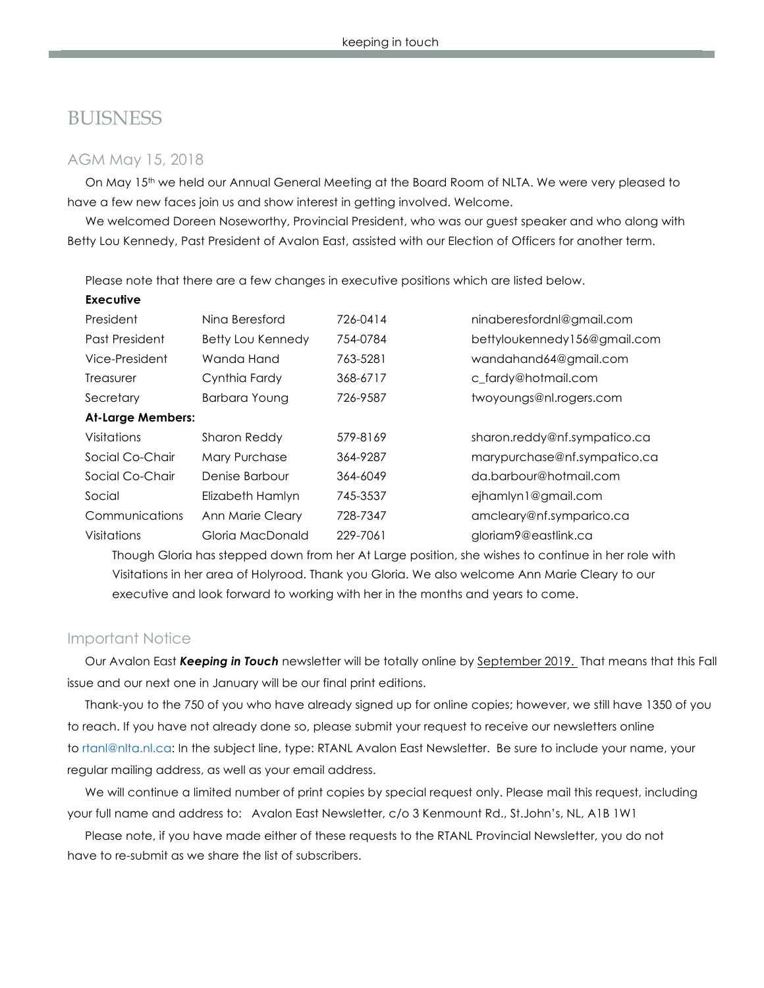### **BUISNESS**

#### AGM May 15, 2018

On May 15th we held our Annual General Meeting at the Board Room of NLTA. We were very pleased to have a few new faces join us and show interest in getting involved. Welcome.

We welcomed Doreen Noseworthy, Provincial President, who was our guest speaker and who along with Betty Lou Kennedy, Past President of Avalon East, assisted with our Election of Officers for another term.

Please note that there are a few changes in executive positions which are listed below.

| <b>Executive</b>         |                     |          |                              |
|--------------------------|---------------------|----------|------------------------------|
| President                | Nina Beresford      | 726-0414 | ninaberesfordnl@gmail.com    |
| Past President           | Betty Lou Kennedy   | 754-0784 | bettyloukennedy156@gmail.com |
| Vice-President           | Wanda Hand          | 763-5281 | wandahand64@gmail.com        |
| Treasurer                | Cynthia Fardy       | 368-6717 | c fardy@hotmail.com          |
| Secretary                | Barbara Young       | 726-9587 | twoyoungs@nl.rogers.com      |
| <b>At-Large Members:</b> |                     |          |                              |
| Visitations              | <b>Sharon Reddy</b> | 579-8169 | sharon.reddy@nf.sympatico.ca |
| Social Co-Chair          | Mary Purchase       | 364-9287 | marypurchase@nf.sympatico.ca |
| Social Co-Chair          | Denise Barbour      | 364-6049 | da.barbour@hotmail.com       |
| Social                   | Elizabeth Hamlyn    | 745-3537 | ejhamlyn1@gmail.com          |
| Communications           | Ann Marie Cleary    | 728-7347 | amcleary@nf.symparico.ca     |
| Visitations              | Gloria MacDonald    | 229-7061 | gloriam9@eastlink.ca         |

Though Gloria has stepped down from her At Large position, she wishes to continue in her role with Visitations in her area of Holyrood. Thank you Gloria. We also welcome Ann Marie Cleary to our executive and look forward to working with her in the months and years to come.

#### Important Notice

Our Avalon East *Keeping in Touch* newsletter will be totally online by September 2019. That means that this Fall issue and our next one in January will be our final print editions.

Thank-you to the 750 of you who have already signed up for online copies; however, we still have 1350 of you to reach. If you have not already done so, please submit your request to receive our newsletters online to rtanl@nlta.nl.ca: In the subject line, type: RTANL Avalon East Newsletter. Be sure to include your name, your regular mailing address, as well as your email address.

We will continue a limited number of print copies by special request only. Please mail this request, including your full name and address to: Avalon East Newsletter, c/o 3 Kenmount Rd., St.John's, NL, A1B 1W1

Please note, if you have made either of these requests to the RTANL Provincial Newsletter, you do not have to re-submit as we share the list of subscribers.